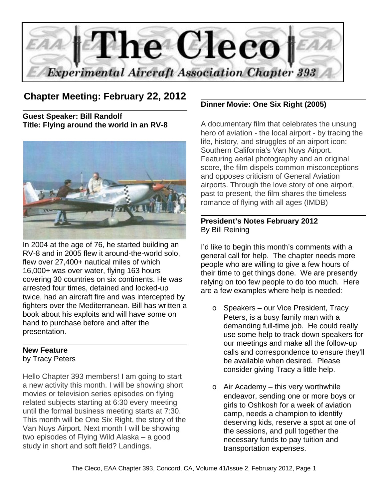

# **Chapter Meeting: February 22, 2012**

**Guest Speaker: Bill Randolf Title: Flying around the world in an RV-8**



In 2004 at the age of 76, he started building an RV-8 and in 2005 flew it around-the-world solo, flew over 27,400+ nautical miles of which 16,000+ was over water, flying 163 hours covering 30 countries on six continents. He was arrested four times, detained and locked-up twice, had an aircraft fire and was intercepted by fighters over the Mediterranean. Bill has written a book about his exploits and will have some on hand to purchase before and after the presentation.

#### **New Feature** by Tracy Peters

Hello Chapter 393 members! I am going to start a new activity this month. I will be showing short movies or television series episodes on flying related subjects starting at 6:30 every meeting until the formal business meeting starts at 7:30. This month will be One Six Right, the story of the Van Nuys Airport. Next month I will be showing two episodes of Flying Wild Alaska – a good study in short and soft field? Landings.

# **Dinner Movie: One Six Right (2005)**

A documentary film that celebrates the unsung hero of aviation - the local airport - by tracing the life, history, and struggles of an airport icon: Southern California's Van Nuys Airport. Featuring aerial photography and an original score, the film dispels common misconceptions and opposes criticism of General Aviation airports. Through the love story of one airport, past to present, the film shares the timeless romance of flying with all ages (IMDB)

#### **President's Notes February 2012** By Bill Reining

I'd like to begin this month's comments with a general call for help. The chapter needs more people who are willing to give a few hours of their time to get things done. We are presently relying on too few people to do too much. Here are a few examples where help is needed:

- o Speakers our Vice President, Tracy Peters, is a busy family man with a demanding full-time job. He could really use some help to track down speakers for our meetings and make all the follow-up calls and correspondence to ensure they'll be available when desired. Please consider giving Tracy a little help.
- o Air Academy this very worthwhile endeavor, sending one or more boys or girls to Oshkosh for a week of aviation camp, needs a champion to identify deserving kids, reserve a spot at one of the sessions, and pull together the necessary funds to pay tuition and transportation expenses.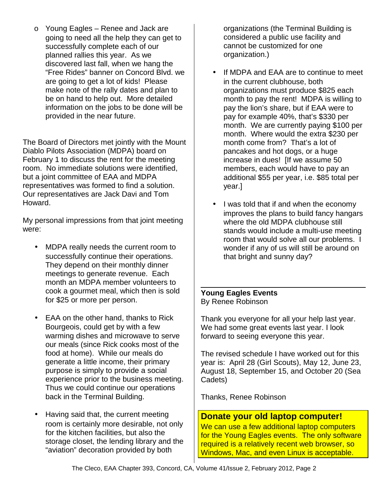o Young Eagles – Renee and Jack are going to need all the help they can get to successfully complete each of our planned rallies this year. As we discovered last fall, when we hang the "Free Rides" banner on Concord Blvd. we are going to get a lot of kids! Please make note of the rally dates and plan to be on hand to help out. More detailed information on the jobs to be done will be provided in the near future.

The Board of Directors met jointly with the Mount Diablo Pilots Association (MDPA) board on February 1 to discuss the rent for the meeting room. No immediate solutions were identified, but a joint committee of EAA and MDPA representatives was formed to find a solution. Our representatives are Jack Davi and Tom Howard.

My personal impressions from that joint meeting were:

- MDPA really needs the current room to successfully continue their operations. They depend on their monthly dinner meetings to generate revenue. Each month an MDPA member volunteers to cook a gourmet meal, which then is sold for \$25 or more per person.
- EAA on the other hand, thanks to Rick Bourgeois, could get by with a few warming dishes and microwave to serve our meals (since Rick cooks most of the food at home). While our meals do generate a little income, their primary purpose is simply to provide a social experience prior to the business meeting. Thus we could continue our operations back in the Terminal Building.
- Having said that, the current meeting room is certainly more desirable, not only for the kitchen facilities, but also the storage closet, the lending library and the "aviation" decoration provided by both

organizations (the Terminal Building is considered a public use facility and cannot be customized for one organization.)

- If MDPA and EAA are to continue to meet in the current clubhouse, both organizations must produce \$825 each month to pay the rent! MDPA is willing to pay the lion's share, but if EAA were to pay for example 40%, that's \$330 per month. We are currently paying \$100 per month. Where would the extra \$230 per month come from? That's a lot of pancakes and hot dogs, or a huge increase in dues! [If we assume 50 members, each would have to pay an additional \$55 per year, i.e. \$85 total per year.]
- I was told that if and when the economy improves the plans to build fancy hangars where the old MDPA clubhouse still stands would include a multi-use meeting room that would solve all our problems. I wonder if any of us will still be around on that bright and sunny day?

#### **Young Eagles Events** By Renee Robinson

Thank you everyone for all your help last year. We had some great events last year. I look forward to seeing everyone this year.

The revised schedule I have worked out for this year is: April 28 (Girl Scouts), May 12, June 23, August 18, September 15, and October 20 (Sea Cadets)

Thanks, Renee Robinson

# **Donate your old laptop computer!**

We can use a few additional laptop computers for the Young Eagles events. The only software required is a relatively recent web browser, so Windows, Mac, and even Linux is acceptable.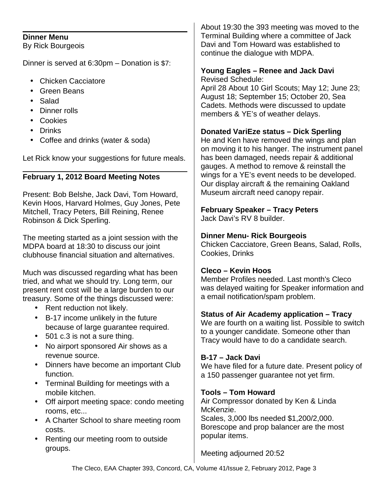#### **Dinner Menu**

By Rick Bourgeois

Dinner is served at 6:30pm – Donation is \$7:

- Chicken Cacciatore
- Green Beans
- Salad
- Dinner rolls
- Cookies
- Drinks
- Coffee and drinks (water & soda)

Let Rick know your suggestions for future meals.

## **February 1, 2012 Board Meeting Notes**

Present: Bob Belshe, Jack Davi, Tom Howard, Kevin Hoos, Harvard Holmes, Guy Jones, Pete Mitchell, Tracy Peters, Bill Reining, Renee Robinson & Dick Sperling.

The meeting started as a joint session with the MDPA board at 18:30 to discuss our joint clubhouse financial situation and alternatives.

Much was discussed regarding what has been tried, and what we should try. Long term, our present rent cost will be a large burden to our treasury. Some of the things discussed were:

- Rent reduction not likely.
- B-17 income unlikely in the future because of large guarantee required.
- 501 c.3 is not a sure thing.
- No airport sponsored Air shows as a revenue source.
- Dinners have become an important Club function.
- Terminal Building for meetings with a mobile kitchen.
- Off airport meeting space: condo meeting rooms, etc...
- A Charter School to share meeting room costs.
- Renting our meeting room to outside groups.

About 19:30 the 393 meeting was moved to the Terminal Building where a committee of Jack Davi and Tom Howard was established to continue the dialogue with MDPA.

#### **Young Eagles – Renee and Jack Davi** Revised Schedule:

April 28 About 10 Girl Scouts; May 12; June 23; August 18; September 15; October 20, Sea Cadets. Methods were discussed to update members & YE's of weather delays.

## **Donated VariEze status – Dick Sperling**

He and Ken have removed the wings and plan on moving it to his hanger. The instrument panel has been damaged, needs repair & additional gauges. A method to remove & reinstall the wings for a YE's event needs to be developed. Our display aircraft & the remaining Oakland Museum aircraft need canopy repair.

# **February Speaker – Tracy Peters**

Jack Davi's RV 8 builder.

### **Dinner Menu- Rick Bourgeois**

Chicken Cacciatore, Green Beans, Salad, Rolls, Cookies, Drinks

### **Cleco – Kevin Hoos**

Member Profiles needed. Last month's Cleco was delayed waiting for Speaker information and a email notification/spam problem.

### **Status of Air Academy application – Tracy**

We are fourth on a waiting list. Possible to switch to a younger candidate. Someone other than Tracy would have to do a candidate search.

# **B-17 – Jack Davi**

We have filed for a future date. Present policy of a 150 passenger guarantee not yet firm.

### **Tools – Tom Howard**

Air Compressor donated by Ken & Linda McKenzie. Scales, 3,000 lbs needed \$1,200/2,000. Borescope and prop balancer are the most popular items.

Meeting adjourned 20:52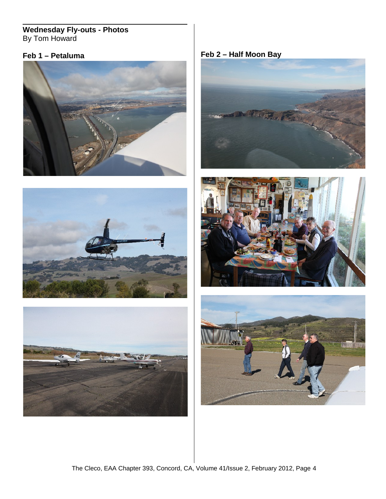# **Wednesday Fly-outs - Photos** By Tom Howard







**Feb 1 – Petaluma Feb 2 – Half Moon Bay**





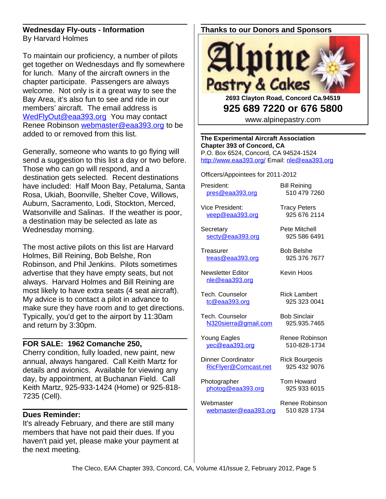#### **Wednesday Fly-outs - Information** By Harvard Holmes

To maintain our proficiency, a number of pilots get together on Wednesdays and fly somewhere for lunch. Many of the aircraft owners in the chapter participate. Passengers are always welcome. Not only is it a great way to see the Bay Area, it's also fun to see and ride in our members' aircraft. The email address is [WedFlyOut@eaa393.org](mailto:WedFlyOut@eaa393.org) You may contact Renee Robinson [webmaster@eaa393.org](mailto:webmaster@eaa393.org) to be added to or removed from this list.

Generally, someone who wants to go flying will send a suggestion to this list a day or two before. Those who can go will respond, and a destination gets selected. Recent destinations have included: Half Moon Bay, Petaluma, Santa Rosa, Ukiah, Boonville, Shelter Cove, Willows, Auburn, Sacramento, Lodi, Stockton, Merced, Watsonville and Salinas. If the weather is poor, a destination may be selected as late as Wednesday morning.

The most active pilots on this list are Harvard Holmes, Bill Reining, Bob Belshe, Ron Robinson, and Phil Jenkins. Pilots sometimes advertise that they have empty seats, but not always. Harvard Holmes and Bill Reining are most likely to have extra seats (4 seat aircraft). My advice is to contact a pilot in advance to make sure they have room and to get directions. Typically, you'd get to the airport by 11:30am and return by 3:30pm.

#### **FOR SALE: 1962 Comanche 250,**

Cherry condition, fully loaded, new paint, new annual, always hangared. Call Keith Martz for details and avionics. Available for viewing any day, by appointment, at Buchanan Field. Call Keith Martz, 925-933-1424 (Home) or 925-818- 7235 (Cell).

### **Dues Reminder:**

It's already February, and there are still many members that have not paid their dues. If you haven't paid yet, please make your payment at the next meeting.

#### **Thanks to our Donors and Sponsors**



**2693 Clayton Road, Concord Ca.94519 925 689 7220 or 676 5800**

www.alpinepastry.com

**The Experimental Aircraft Association Chapter 393 of Concord, CA** P.O. Box 6524, Concord, CA 94524-1524 <http://www.eaa393.org/>Email: [nle@eaa393.org](mailto:nle@eaa393.org)

Officers/Appointees for 2011-2012

President: Bill Reining [pres@eaa393.org](mailto:pres@eaa393.org) 510 479 7260

Vice President: Tracy Peters [veep@eaa393.org](mailto:veep@eaa393.org) 925 676 2114

Secretary **Pete Mitchell** [secty@eaa393.org](mailto:secty@eaa393.org) 925 586 6491

Treasurer Bob Belshe [treas@eaa393.org](mailto:treas@eaa393.org) 925 376 7677

Newsletter Editor **Kevin Hoos** [nle@eaa393.org](mailto:nle@eaa393.org)

Tech. Counselor **Rick Lambert** [tc@eaa393.org](mailto:tc@eaa393.org) 925 323 0041

Tech. Counselor Bob Sinclair [N320sierra@gmail.com](mailto:N320sierra@gmail.com) 925.935.7465

Young Eagles Renee Robinson [yec@eaa393.org](mailto:yec@eaa393.org) 510-828-1734

Dinner Coordinator Rick Bourgeois [RicFlyer@Comcast.net](mailto:RicFlyer@Comcast.net) 925 432 9076

Photographer Tom Howard [photog@eaa393.org](mailto:photog@eaa393.org) 925 933 6015

Webmaster Renee Robinson [webmaster@eaa393.org](mailto:webmaster@eaa393.org) 510 828 1734